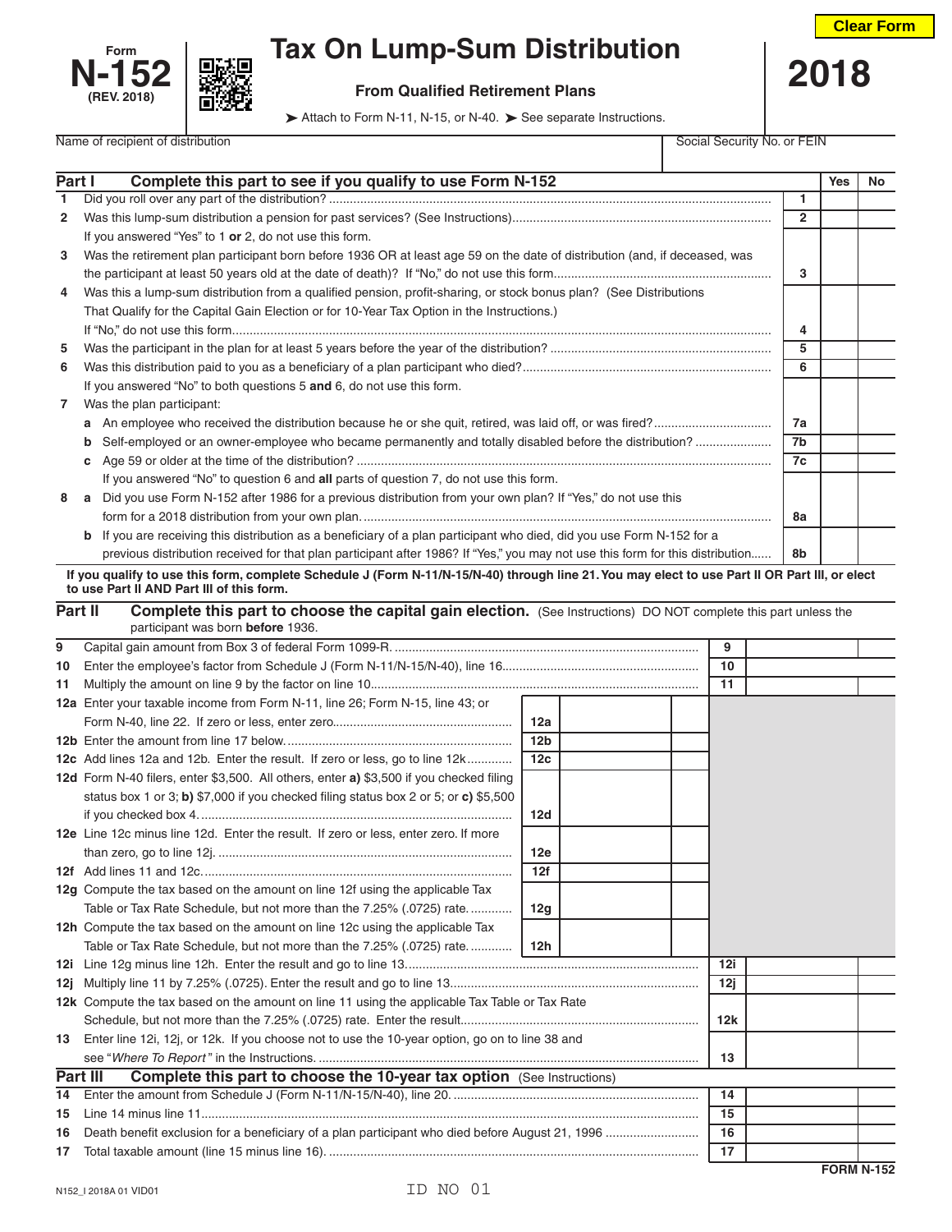



## **Form Tax On Lump-Sum Distribution**

Name of recipient of distribution **Social Security No. or FEIN** 

 **From Qualified Retirement Plans 12018** 

Attach to Form N-11, N-15, or N-40. > See separate Instructions.

| Part I       | Complete this part to see if you qualify to use Form N-152                                                                                     |                 |  |    |                | <b>Yes</b> | No |
|--------------|------------------------------------------------------------------------------------------------------------------------------------------------|-----------------|--|----|----------------|------------|----|
| 1            |                                                                                                                                                |                 |  |    | 1              |            |    |
| $\mathbf{2}$ |                                                                                                                                                |                 |  |    | $\overline{2}$ |            |    |
|              | If you answered "Yes" to 1 or 2, do not use this form.                                                                                         |                 |  |    |                |            |    |
| 3            | Was the retirement plan participant born before 1936 OR at least age 59 on the date of distribution (and, if deceased, was                     |                 |  |    |                |            |    |
|              |                                                                                                                                                |                 |  |    | 3              |            |    |
| 4            | Was this a lump-sum distribution from a qualified pension, profit-sharing, or stock bonus plan? (See Distributions                             |                 |  |    |                |            |    |
|              | That Qualify for the Capital Gain Election or for 10-Year Tax Option in the Instructions.)                                                     |                 |  |    |                |            |    |
|              |                                                                                                                                                |                 |  |    | 4              |            |    |
| 5            |                                                                                                                                                |                 |  |    | 5              |            |    |
| 6            |                                                                                                                                                |                 |  |    | 6              |            |    |
|              | If you answered "No" to both questions 5 and 6, do not use this form.                                                                          |                 |  |    |                |            |    |
| $\mathbf{7}$ | Was the plan participant:                                                                                                                      |                 |  |    |                |            |    |
|              |                                                                                                                                                |                 |  |    | 7a             |            |    |
|              | Self-employed or an owner-employee who became permanently and totally disabled before the distribution?<br>b                                   |                 |  |    | 7b             |            |    |
|              | c                                                                                                                                              |                 |  |    | 7c             |            |    |
|              | If you answered "No" to question 6 and all parts of question 7, do not use this form.                                                          |                 |  |    |                |            |    |
| 8            | a Did you use Form N-152 after 1986 for a previous distribution from your own plan? If "Yes," do not use this                                  |                 |  |    |                |            |    |
|              |                                                                                                                                                |                 |  |    | 8а             |            |    |
|              | b If you are receiving this distribution as a beneficiary of a plan participant who died, did you use Form N-152 for a                         |                 |  |    |                |            |    |
|              | previous distribution received for that plan participant after 1986? If "Yes," you may not use this form for this distribution                 |                 |  |    | 8b             |            |    |
|              | If you qualify to use this form, complete Schedule J (Form N-11/N-15/N-40) through line 21. You may elect to use Part II OR Part III, or elect |                 |  |    |                |            |    |
|              | to use Part II AND Part III of this form.                                                                                                      |                 |  |    |                |            |    |
|              | Part II<br><b>Complete this part to choose the capital gain election.</b> (See Instructions) DO NOT complete this part unless the              |                 |  |    |                |            |    |
|              | participant was born before 1936.                                                                                                              |                 |  |    |                |            |    |
| 9            |                                                                                                                                                |                 |  | 9  |                |            |    |
| 10           |                                                                                                                                                |                 |  | 10 |                |            |    |
| 11.          |                                                                                                                                                |                 |  | 11 |                |            |    |
|              | 12a Enter your taxable income from Form N-11, line 26; Form N-15, line 43; or                                                                  |                 |  |    |                |            |    |
|              |                                                                                                                                                | 12a             |  |    |                |            |    |
|              |                                                                                                                                                | 12 <sub>b</sub> |  |    |                |            |    |
|              | 12c Add lines 12a and 12b. Enter the result. If zero or less, go to line 12k                                                                   | 12 <sub>c</sub> |  |    |                |            |    |
|              | 12d Form N-40 filers, enter \$3,500. All others, enter a) \$3,500 if you checked filing                                                        |                 |  |    |                |            |    |
|              | status box 1 or 3; b) \$7,000 if you checked filing status box 2 or 5; or c) \$5,500                                                           |                 |  |    |                |            |    |
|              |                                                                                                                                                | 12d             |  |    |                |            |    |
|              | 12e Line 12c minus line 12d. Enter the result. If zero or less, enter zero. If more                                                            |                 |  |    |                |            |    |
|              |                                                                                                                                                | 12e             |  |    |                |            |    |

| 12i |                                                                                                  | 12i |  |
|-----|--------------------------------------------------------------------------------------------------|-----|--|
| 12i |                                                                                                  | 12i |  |
|     | 12k Compute the tax based on the amount on line 11 using the applicable Tax Table or Tax Rate    |     |  |
|     |                                                                                                  | 12k |  |
| 13. | Enter line 12i, 12j, or 12k. If you choose not to use the 10-year option, go on to line 38 and   |     |  |
|     |                                                                                                  | 13  |  |
|     | <b>Complete this part to choose the 10-year tax option</b> (See Instructions)<br><b>Part III</b> |     |  |
|     |                                                                                                  | 14  |  |
| 15  |                                                                                                  | 15  |  |
| 16  |                                                                                                  | 16  |  |
|     |                                                                                                  | 17  |  |

**12f** Add lines 11 and 12c.......................................................................................... **12f**

Table or Tax Rate Schedule, but not more than the 7.25% (.0725) rate............. **12g**

Table or Tax Rate Schedule, but not more than the 7.25% (.0725) rate............. **12h**

**12g** Compute the tax based on the amount on line 12f using the applicable Tax

**12h** Compute the tax based on the amount on line 12c using the applicable Tax